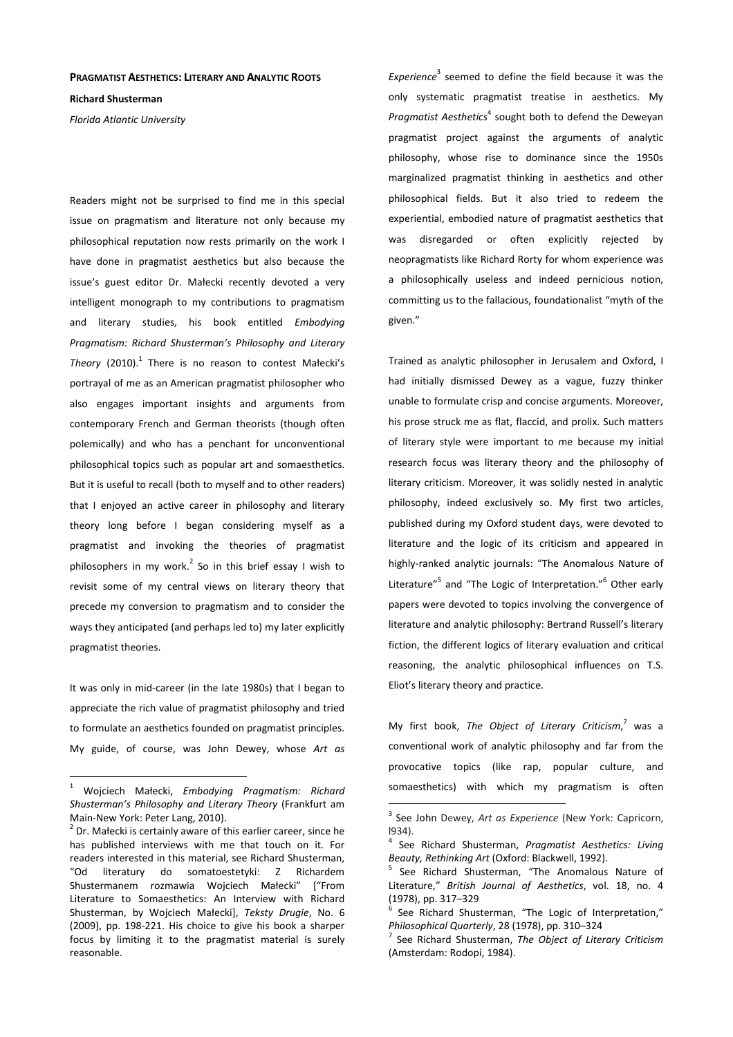## **PRAGMATIST AESTHETICS: LITERARY AND ANALYTIC ROOTS**

**Richard Shusterman** 

*Florida Atlantic University* 

Readers might not be surprised to find me in this special issue on pragmatism and literature not only because my philosophical reputation now rests primarily on the work I have done in pragmatist aesthetics but also because the issue's guest editor Dr. Małecki recently devoted a very intelligent monograph to my contributions to pragmatism and literary studies, his book entitled *Embodying Pragmatism: Richard Shusterman's Philosophy and Literary*  Theory (2010).<sup>1</sup> There is no reason to contest Małecki's portrayal of me as an American pragmatist philosopher who also engages important insights and arguments from contemporary French and German theorists (though often polemically) and who has a penchant for unconventional philosophical topics such as popular art and somaesthetics. But it is useful to recall (both to myself and to other readers) that I enjoyed an active career in philosophy and literary theory long before I began considering myself as a pragmatist and invoking the theories of pragmatist philosophers in my work. $^2$  So in this brief essay I wish to revisit some of my central views on literary theory that precede my conversion to pragmatism and to consider the ways they anticipated (and perhaps led to) my later explicitly pragmatist theories.

It was only in mid-career (in the late 1980s) that I began to appreciate the rich value of pragmatist philosophy and tried to formulate an aesthetics founded on pragmatist principles. My guide, of course, was John Dewey, whose *Art as* 

 $\overline{a}$ 

Experience<sup>3</sup> seemed to define the field because it was the only systematic pragmatist treatise in aesthetics. My Pragmatist Aesthetics<sup>4</sup> sought both to defend the Deweyan pragmatist project against the arguments of analytic philosophy, whose rise to dominance since the 1950s marginalized pragmatist thinking in aesthetics and other philosophical fields. But it also tried to redeem the experiential, embodied nature of pragmatist aesthetics that was disregarded or often explicitly rejected by neopragmatists like Richard Rorty for whom experience was a philosophically useless and indeed pernicious notion, committing us to the fallacious, foundationalist "myth of the given."

Trained as analytic philosopher in Jerusalem and Oxford, I had initially dismissed Dewey as a vague, fuzzy thinker unable to formulate crisp and concise arguments. Moreover, his prose struck me as flat, flaccid, and prolix. Such matters of literary style were important to me because my initial research focus was literary theory and the philosophy of literary criticism. Moreover, it was solidly nested in analytic philosophy, indeed exclusively so. My first two articles, published during my Oxford student days, were devoted to literature and the logic of its criticism and appeared in highly-ranked analytic journals: "The Anomalous Nature of Literature"<sup>5</sup> and "The Logic of Interpretation."<sup>6</sup> Other early papers were devoted to topics involving the convergence of literature and analytic philosophy: Bertrand Russell's literary fiction, the different logics of literary evaluation and critical reasoning, the analytic philosophical influences on T.S. Eliot's literary theory and practice.

My first book, *The Object of Literary Criticism*, 7 was a conventional work of analytic philosophy and far from the provocative topics (like rap, popular culture, and somaesthetics) with which my pragmatism is often

<sup>1</sup> Wojciech Małecki, *Embodying Pragmatism: Richard Shusterman's Philosophy and Literary Theory* (Frankfurt am Main-New York: Peter Lang, 2010).

 $2^{2}$  Dr. Małecki is certainly aware of this earlier career, since he has published interviews with me that touch on it. For readers interested in this material, see Richard Shusterman, "Od literatury do somatoestetyki: Z Richardem Shustermanem rozmawia Wojciech Małecki" ["From Literature to Somaesthetics: An Interview with Richard Shusterman, by Wojciech Małecki], *Teksty Drugie*, No. 6 (2009), pp. 198-221. His choice to give his book a sharper focus by limiting it to the pragmatist material is surely reasonable.

<sup>3</sup> See John Dewey, *Art as Experience* (New York: Capricorn, l934).

<sup>4</sup> See Richard Shusterman, *Pragmatist Aesthetics: Living Beauty, Rethinking Art* (Oxford: Blackwell, 1992).

<sup>5</sup> See Richard Shusterman, "The Anomalous Nature of Literature," *British Journal of Aesthetics*, vol. 18, no. 4 (1978), pp. 317–329

<sup>6</sup> See Richard Shusterman, "The Logic of Interpretation," *Philosophical Quarterly*, 28 (1978), pp. 310–324

<sup>7</sup> See Richard Shusterman, *The Object of Literary Criticism* (Amsterdam: Rodopi, 1984).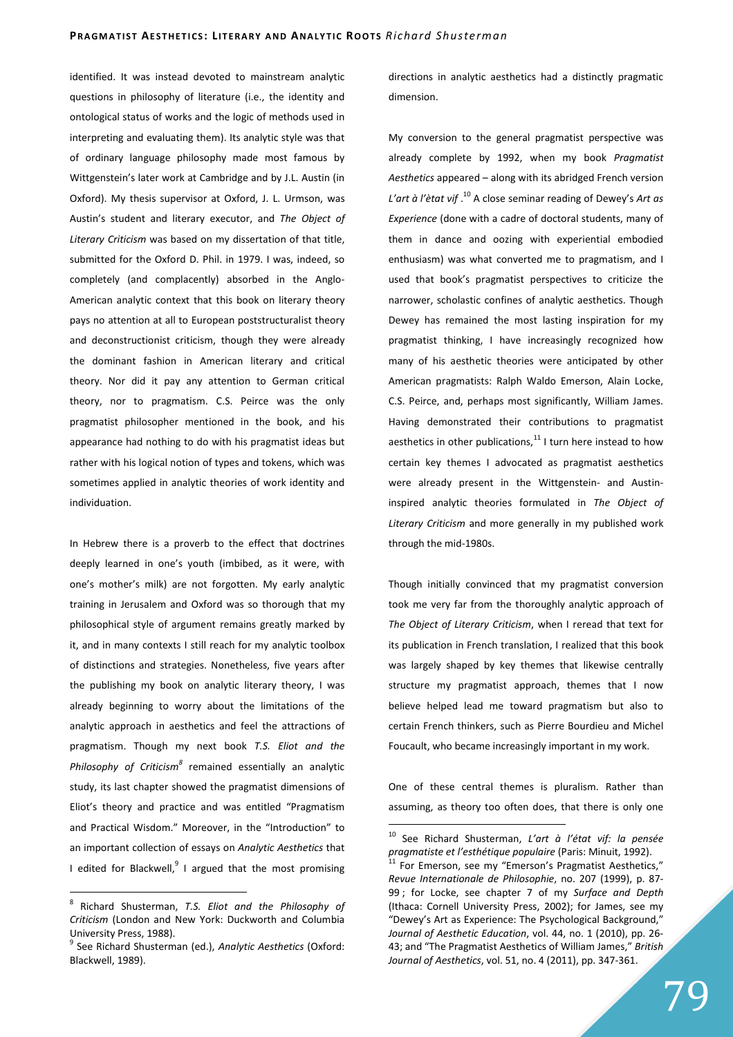identified. It was instead devoted to mainstream analytic questions in philosophy of literature (i.e., the identity and ontological status of works and the logic of methods used in interpreting and evaluating them). Its analytic style was that of ordinary language philosophy made most famous by Wittgenstein's later work at Cambridge and by J.L. Austin (in Oxford). My thesis supervisor at Oxford, J. L. Urmson, was Austin's student and literary executor, and *The Object of Literary Criticism* was based on my dissertation of that title, submitted for the Oxford D. Phil. in 1979. I was, indeed, so completely (and complacently) absorbed in the Anglo-American analytic context that this book on literary theory pays no attention at all to European poststructuralist theory and deconstructionist criticism, though they were already the dominant fashion in American literary and critical theory. Nor did it pay any attention to German critical theory, nor to pragmatism. C.S. Peirce was the only pragmatist philosopher mentioned in the book, and his appearance had nothing to do with his pragmatist ideas but rather with his logical notion of types and tokens, which was sometimes applied in analytic theories of work identity and individuation.

In Hebrew there is a proverb to the effect that doctrines deeply learned in one's youth (imbibed, as it were, with one's mother's milk) are not forgotten. My early analytic training in Jerusalem and Oxford was so thorough that my philosophical style of argument remains greatly marked by it, and in many contexts I still reach for my analytic toolbox of distinctions and strategies. Nonetheless, five years after the publishing my book on analytic literary theory, I was already beginning to worry about the limitations of the analytic approach in aesthetics and feel the attractions of pragmatism. Though my next book *T.S. Eliot and the*  Philosophy of Criticism<sup>8</sup> remained essentially an analytic study, its last chapter showed the pragmatist dimensions of Eliot's theory and practice and was entitled "Pragmatism and Practical Wisdom." Moreover, in the "Introduction" to an important collection of essays on *Analytic Aesthetics* that I edited for Blackwell, $^{9}$  I argued that the most promising

 $\overline{a}$ 

directions in analytic aesthetics had a distinctly pragmatic dimension.

My conversion to the general pragmatist perspective was already complete by 1992, when my book *Pragmatist Aesthetics* appeared – along with its abridged French version *L'art à l'ètat vif* . <sup>10</sup> A close seminar reading of Dewey's *Art as Experience* (done with a cadre of doctoral students, many of them in dance and oozing with experiential embodied enthusiasm) was what converted me to pragmatism, and I used that book's pragmatist perspectives to criticize the narrower, scholastic confines of analytic aesthetics. Though Dewey has remained the most lasting inspiration for my pragmatist thinking, I have increasingly recognized how many of his aesthetic theories were anticipated by other American pragmatists: Ralph Waldo Emerson, Alain Locke, C.S. Peirce, and, perhaps most significantly, William James. Having demonstrated their contributions to pragmatist aesthetics in other publications, $11$  I turn here instead to how certain key themes I advocated as pragmatist aesthetics were already present in the Wittgenstein- and Austininspired analytic theories formulated in *The Object of Literary Criticism* and more generally in my published work through the mid-1980s.

Though initially convinced that my pragmatist conversion took me very far from the thoroughly analytic approach of *The Object of Literary Criticism*, when I reread that text for its publication in French translation, I realized that this book was largely shaped by key themes that likewise centrally structure my pragmatist approach, themes that I now believe helped lead me toward pragmatism but also to certain French thinkers, such as Pierre Bourdieu and Michel Foucault, who became increasingly important in my work.

One of these central themes is pluralism. Rather than assuming, as theory too often does, that there is only one

<sup>8</sup> Richard Shusterman, *T.S. Eliot and the Philosophy of Criticism* (London and New York: Duckworth and Columbia University Press, 1988).

<sup>9</sup> See Richard Shusterman (ed.), *Analytic Aesthetics* (Oxford: Blackwell, 1989).

<sup>10</sup> See Richard Shusterman, *L'art à l'état vif: la pensée pragmatiste et l'esthétique populaire* (Paris: Minuit, 1992).

For Emerson, see my "Emerson's Pragmatist Aesthetics," *Revue Internationale de Philosophie*, no. 207 (1999), p. 87- 99 ; for Locke, see chapter 7 of my *Surface and Depth* (Ithaca: Cornell University Press, 2002); for James, see my "Dewey's Art as Experience: The Psychological Background," *Journal of Aesthetic Education*, vol. 44, no. 1 (2010), pp. 26- 43; and "The Pragmatist Aesthetics of William James," *British Journal of Aesthetics*, vol. 51, no. 4 (2011), pp. 347-361.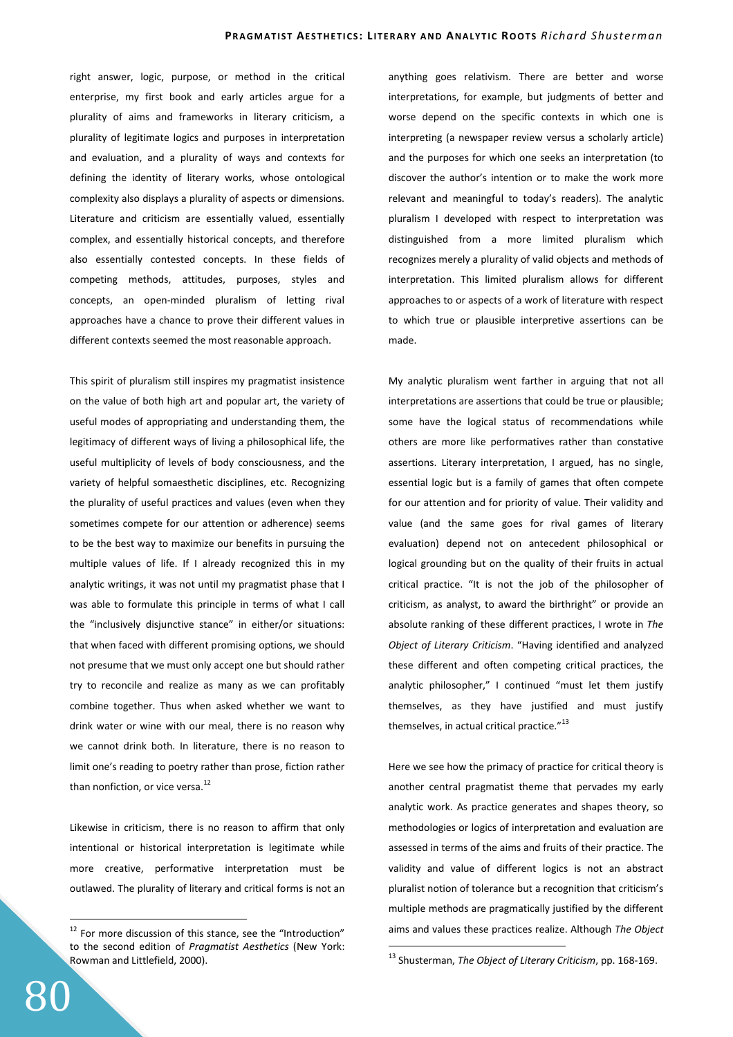right answer, logic, purpose, or method in the critical enterprise, my first book and early articles argue for a plurality of aims and frameworks in literary criticism, a plurality of legitimate logics and purposes in interpretation and evaluation, and a plurality of ways and contexts for defining the identity of literary works, whose ontological complexity also displays a plurality of aspects or dimensions. Literature and criticism are essentially valued, essentially complex, and essentially historical concepts, and therefore also essentially contested concepts. In these fields of competing methods, attitudes, purposes, styles and concepts, an open-minded pluralism of letting rival approaches have a chance to prove their different values in different contexts seemed the most reasonable approach.

This spirit of pluralism still inspires my pragmatist insistence on the value of both high art and popular art, the variety of useful modes of appropriating and understanding them, the legitimacy of different ways of living a philosophical life, the useful multiplicity of levels of body consciousness, and the variety of helpful somaesthetic disciplines, etc. Recognizing the plurality of useful practices and values (even when they sometimes compete for our attention or adherence) seems to be the best way to maximize our benefits in pursuing the multiple values of life. If I already recognized this in my analytic writings, it was not until my pragmatist phase that I was able to formulate this principle in terms of what I call the "inclusively disjunctive stance" in either/or situations: that when faced with different promising options, we should not presume that we must only accept one but should rather try to reconcile and realize as many as we can profitably combine together. Thus when asked whether we want to drink water or wine with our meal, there is no reason why we cannot drink both. In literature, there is no reason to limit one's reading to poetry rather than prose, fiction rather than nonfiction, or vice versa. $^{12}$ 

Likewise in criticism, there is no reason to affirm that only intentional or historical interpretation is legitimate while more creative, performative interpretation must be outlawed. The plurality of literary and critical forms is not an anything goes relativism. There are better and worse interpretations, for example, but judgments of better and worse depend on the specific contexts in which one is interpreting (a newspaper review versus a scholarly article) and the purposes for which one seeks an interpretation (to discover the author's intention or to make the work more relevant and meaningful to today's readers). The analytic pluralism I developed with respect to interpretation was distinguished from a more limited pluralism which recognizes merely a plurality of valid objects and methods of interpretation. This limited pluralism allows for different approaches to or aspects of a work of literature with respect to which true or plausible interpretive assertions can be made.

My analytic pluralism went farther in arguing that not all interpretations are assertions that could be true or plausible; some have the logical status of recommendations while others are more like performatives rather than constative assertions. Literary interpretation, I argued, has no single, essential logic but is a family of games that often compete for our attention and for priority of value. Their validity and value (and the same goes for rival games of literary evaluation) depend not on antecedent philosophical or logical grounding but on the quality of their fruits in actual critical practice. "It is not the job of the philosopher of criticism, as analyst, to award the birthright" or provide an absolute ranking of these different practices, I wrote in *The Object of Literary Criticism*. "Having identified and analyzed these different and often competing critical practices, the analytic philosopher," I continued "must let them justify themselves, as they have justified and must justify themselves, in actual critical practice."<sup>13</sup>

Here we see how the primacy of practice for critical theory is another central pragmatist theme that pervades my early analytic work. As practice generates and shapes theory, so methodologies or logics of interpretation and evaluation are assessed in terms of the aims and fruits of their practice. The validity and value of different logics is not an abstract pluralist notion of tolerance but a recognition that criticism's multiple methods are pragmatically justified by the different aims and values these practices realize. Although *The Object* 

 $\overline{a}$ 

<sup>&</sup>lt;sup>12</sup> For more discussion of this stance, see the "Introduction" to the second edition of *Pragmatist Aesthetics* (New York: Rowman and Littlefield, 2000).

<sup>13</sup> Shusterman, *The Object of Literary Criticism*, pp. 168-169.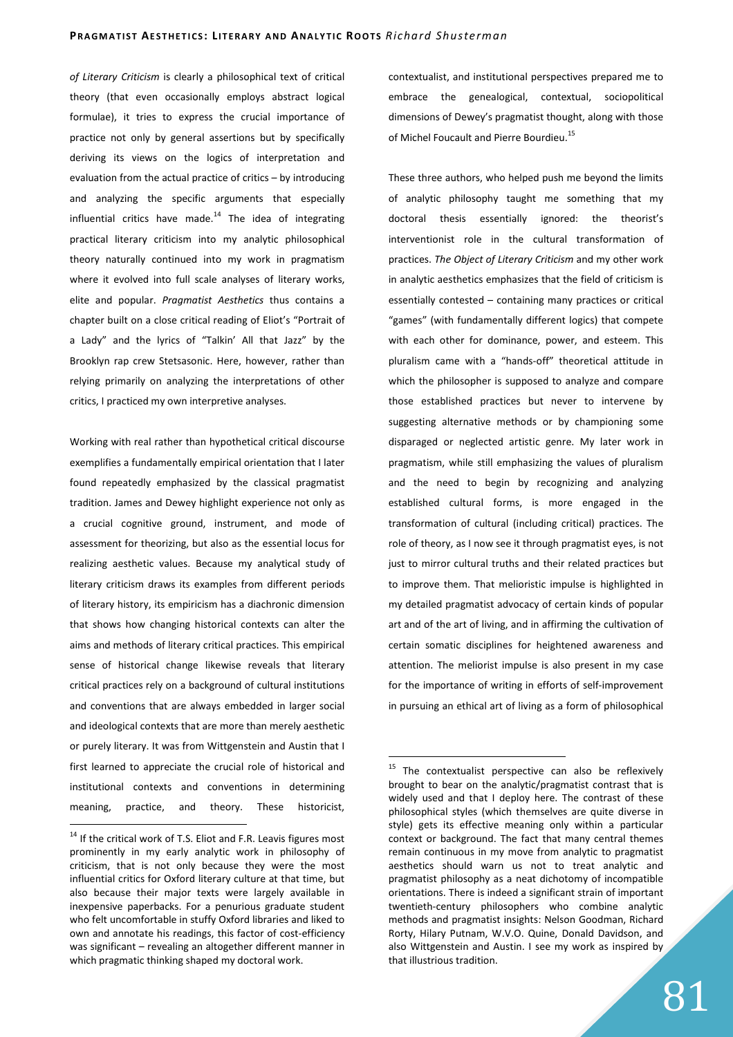*of Literary Criticism* is clearly a philosophical text of critical theory (that even occasionally employs abstract logical formulae), it tries to express the crucial importance of practice not only by general assertions but by specifically deriving its views on the logics of interpretation and evaluation from the actual practice of critics – by introducing and analyzing the specific arguments that especially influential critics have made. $^{14}$  The idea of integrating practical literary criticism into my analytic philosophical theory naturally continued into my work in pragmatism where it evolved into full scale analyses of literary works, elite and popular. *Pragmatist Aesthetics* thus contains a chapter built on a close critical reading of Eliot's "Portrait of a Lady" and the lyrics of "Talkin' All that Jazz" by the Brooklyn rap crew Stetsasonic. Here, however, rather than relying primarily on analyzing the interpretations of other critics, I practiced my own interpretive analyses.

Working with real rather than hypothetical critical discourse exemplifies a fundamentally empirical orientation that I later found repeatedly emphasized by the classical pragmatist tradition. James and Dewey highlight experience not only as a crucial cognitive ground, instrument, and mode of assessment for theorizing, but also as the essential locus for realizing aesthetic values. Because my analytical study of literary criticism draws its examples from different periods of literary history, its empiricism has a diachronic dimension that shows how changing historical contexts can alter the aims and methods of literary critical practices. This empirical sense of historical change likewise reveals that literary critical practices rely on a background of cultural institutions and conventions that are always embedded in larger social and ideological contexts that are more than merely aesthetic or purely literary. It was from Wittgenstein and Austin that I first learned to appreciate the crucial role of historical and institutional contexts and conventions in determining meaning, practice, and theory. These historicist,

 $\overline{a}$ 

contextualist, and institutional perspectives prepared me to embrace the genealogical, contextual, sociopolitical dimensions of Dewey's pragmatist thought, along with those of Michel Foucault and Pierre Bourdieu.<sup>15</sup>

These three authors, who helped push me beyond the limits of analytic philosophy taught me something that my doctoral thesis essentially ignored: the theorist's interventionist role in the cultural transformation of practices. *The Object of Literary Criticism* and my other work in analytic aesthetics emphasizes that the field of criticism is essentially contested – containing many practices or critical "games" (with fundamentally different logics) that compete with each other for dominance, power, and esteem. This pluralism came with a "hands-off" theoretical attitude in which the philosopher is supposed to analyze and compare those established practices but never to intervene by suggesting alternative methods or by championing some disparaged or neglected artistic genre. My later work in pragmatism, while still emphasizing the values of pluralism and the need to begin by recognizing and analyzing established cultural forms, is more engaged in the transformation of cultural (including critical) practices. The role of theory, as I now see it through pragmatist eyes, is not just to mirror cultural truths and their related practices but to improve them. That melioristic impulse is highlighted in my detailed pragmatist advocacy of certain kinds of popular art and of the art of living, and in affirming the cultivation of certain somatic disciplines for heightened awareness and attention. The meliorist impulse is also present in my case for the importance of writing in efforts of self-improvement in pursuing an ethical art of living as a form of philosophical

<sup>&</sup>lt;sup>14</sup> If the critical work of T.S. Eliot and F.R. Leavis figures most prominently in my early analytic work in philosophy of criticism, that is not only because they were the most influential critics for Oxford literary culture at that time, but also because their major texts were largely available in inexpensive paperbacks. For a penurious graduate student who felt uncomfortable in stuffy Oxford libraries and liked to own and annotate his readings, this factor of cost-efficiency was significant – revealing an altogether different manner in which pragmatic thinking shaped my doctoral work.

 $15$  The contextualist perspective can also be reflexively brought to bear on the analytic/pragmatist contrast that is widely used and that I deploy here. The contrast of these philosophical styles (which themselves are quite diverse in style) gets its effective meaning only within a particular context or background. The fact that many central themes remain continuous in my move from analytic to pragmatist aesthetics should warn us not to treat analytic and pragmatist philosophy as a neat dichotomy of incompatible orientations. There is indeed a significant strain of important twentieth-century philosophers who combine analytic methods and pragmatist insights: Nelson Goodman, Richard Rorty, Hilary Putnam, W.V.O. Quine, Donald Davidson, and also Wittgenstein and Austin. I see my work as inspired by that illustrious tradition.